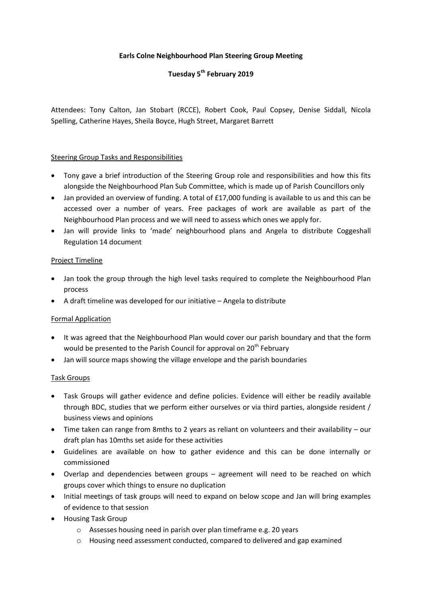## **Earls Colne Neighbourhood Plan Steering Group Meeting**

# **Tuesday 5th February 2019**

Attendees: Tony Calton, Jan Stobart (RCCE), Robert Cook, Paul Copsey, Denise Siddall, Nicola Spelling, Catherine Hayes, Sheila Boyce, Hugh Street, Margaret Barrett

#### Steering Group Tasks and Responsibilities

- Tony gave a brief introduction of the Steering Group role and responsibilities and how this fits alongside the Neighbourhood Plan Sub Committee, which is made up of Parish Councillors only
- Jan provided an overview of funding. A total of £17,000 funding is available to us and this can be accessed over a number of years. Free packages of work are available as part of the Neighbourhood Plan process and we will need to assess which ones we apply for.
- Jan will provide links to 'made' neighbourhood plans and Angela to distribute Coggeshall Regulation 14 document

#### Project Timeline

- Jan took the group through the high level tasks required to complete the Neighbourhood Plan process
- A draft timeline was developed for our initiative Angela to distribute

## Formal Application

- It was agreed that the Neighbourhood Plan would cover our parish boundary and that the form would be presented to the Parish Council for approval on 20<sup>th</sup> February
- Jan will source maps showing the village envelope and the parish boundaries

#### Task Groups

- Task Groups will gather evidence and define policies. Evidence will either be readily available through BDC, studies that we perform either ourselves or via third parties, alongside resident / business views and opinions
- Time taken can range from 8mths to 2 years as reliant on volunteers and their availability our draft plan has 10mths set aside for these activities
- Guidelines are available on how to gather evidence and this can be done internally or commissioned
- Overlap and dependencies between groups agreement will need to be reached on which groups cover which things to ensure no duplication
- Initial meetings of task groups will need to expand on below scope and Jan will bring examples of evidence to that session
- Housing Task Group
	- o Assesses housing need in parish over plan timeframe e.g. 20 years
	- o Housing need assessment conducted, compared to delivered and gap examined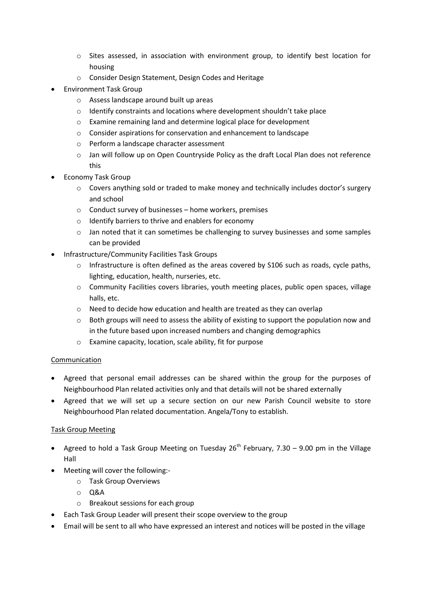- o Sites assessed, in association with environment group, to identify best location for housing
- o Consider Design Statement, Design Codes and Heritage
- Environment Task Group
	- o Assess landscape around built up areas
	- o Identify constraints and locations where development shouldn't take place
	- o Examine remaining land and determine logical place for development
	- o Consider aspirations for conservation and enhancement to landscape
	- o Perform a landscape character assessment
	- o Jan will follow up on Open Countryside Policy as the draft Local Plan does not reference this
- Economy Task Group
	- o Covers anything sold or traded to make money and technically includes doctor's surgery and school
	- o Conduct survey of businesses home workers, premises
	- o Identify barriers to thrive and enablers for economy
	- $\circ$  Jan noted that it can sometimes be challenging to survey businesses and some samples can be provided
- Infrastructure/Community Facilities Task Groups
	- o Infrastructure is often defined as the areas covered by S106 such as roads, cycle paths, lighting, education, health, nurseries, etc.
	- o Community Facilities covers libraries, youth meeting places, public open spaces, village halls, etc.
	- o Need to decide how education and health are treated as they can overlap
	- o Both groups will need to assess the ability of existing to support the population now and in the future based upon increased numbers and changing demographics
	- o Examine capacity, location, scale ability, fit for purpose

## Communication

- Agreed that personal email addresses can be shared within the group for the purposes of Neighbourhood Plan related activities only and that details will not be shared externally
- Agreed that we will set up a secure section on our new Parish Council website to store Neighbourhood Plan related documentation. Angela/Tony to establish.

## Task Group Meeting

- Agreed to hold a Task Group Meeting on Tuesday  $26^{th}$  February, 7.30 9.00 pm in the Village Hall
- Meeting will cover the following:
	- o Task Group Overviews
		- o Q&A
		- o Breakout sessions for each group
- Each Task Group Leader will present their scope overview to the group
- Email will be sent to all who have expressed an interest and notices will be posted in the village